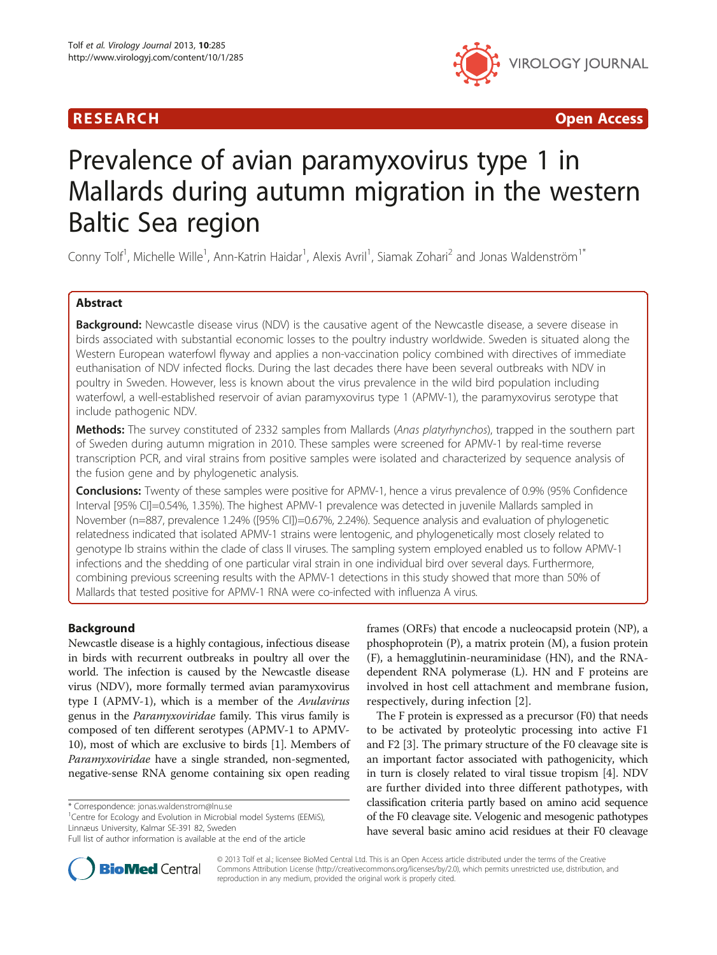



# Prevalence of avian paramyxovirus type 1 in Mallards during autumn migration in the western Baltic Sea region

Conny Tolf<sup>1</sup>, Michelle Wille<sup>1</sup>, Ann-Katrin Haidar<sup>1</sup>, Alexis Avril<sup>1</sup>, Siamak Zohari<sup>2</sup> and Jonas Waldenström<sup>1\*</sup>

# Abstract

Background: Newcastle disease virus (NDV) is the causative agent of the Newcastle disease, a severe disease in birds associated with substantial economic losses to the poultry industry worldwide. Sweden is situated along the Western European waterfowl flyway and applies a non-vaccination policy combined with directives of immediate euthanisation of NDV infected flocks. During the last decades there have been several outbreaks with NDV in poultry in Sweden. However, less is known about the virus prevalence in the wild bird population including waterfowl, a well-established reservoir of avian paramyxovirus type 1 (APMV-1), the paramyxovirus serotype that include pathogenic NDV.

Methods: The survey constituted of 2332 samples from Mallards (Anas platyrhynchos), trapped in the southern part of Sweden during autumn migration in 2010. These samples were screened for APMV-1 by real-time reverse transcription PCR, and viral strains from positive samples were isolated and characterized by sequence analysis of the fusion gene and by phylogenetic analysis.

**Conclusions:** Twenty of these samples were positive for APMV-1, hence a virus prevalence of 0.9% (95% Confidence Interval [95% CI]=0.54%, 1.35%). The highest APMV-1 prevalence was detected in juvenile Mallards sampled in November (n=887, prevalence 1.24% ([95% CI])=0.67%, 2.24%). Sequence analysis and evaluation of phylogenetic relatedness indicated that isolated APMV-1 strains were lentogenic, and phylogenetically most closely related to genotype Ib strains within the clade of class II viruses. The sampling system employed enabled us to follow APMV-1 infections and the shedding of one particular viral strain in one individual bird over several days. Furthermore, combining previous screening results with the APMV-1 detections in this study showed that more than 50% of Mallards that tested positive for APMV-1 RNA were co-infected with influenza A virus.

# Background

Newcastle disease is a highly contagious, infectious disease in birds with recurrent outbreaks in poultry all over the world. The infection is caused by the Newcastle disease virus (NDV), more formally termed avian paramyxovirus type I (APMV-1), which is a member of the Avulavirus genus in the Paramyxoviridae family. This virus family is composed of ten different serotypes (APMV-1 to APMV-10), most of which are exclusive to birds [\[1](#page-7-0)]. Members of Paramyxoviridae have a single stranded, non-segmented, negative-sense RNA genome containing six open reading

<sup>1</sup> Centre for Ecology and Evolution in Microbial model Systems (EEMiS), Linnæus University, Kalmar SE-391 82, Sweden



The F protein is expressed as a precursor (F0) that needs to be activated by proteolytic processing into active F1 and F2 [[3\]](#page-7-0). The primary structure of the F0 cleavage site is an important factor associated with pathogenicity, which in turn is closely related to viral tissue tropism [[4\]](#page-7-0). NDV are further divided into three different pathotypes, with classification criteria partly based on amino acid sequence of the F0 cleavage site. Velogenic and mesogenic pathotypes have several basic amino acid residues at their F0 cleavage



© 2013 Tolf et al.; licensee BioMed Central Ltd. This is an Open Access article distributed under the terms of the Creative Commons Attribution License [\(http://creativecommons.org/licenses/by/2.0\)](http://creativecommons.org/licenses/by/2.0), which permits unrestricted use, distribution, and reproduction in any medium, provided the original work is properly cited.

<sup>\*</sup> Correspondence: [jonas.waldenstrom@lnu.se](mailto:jonas.waldenstrom@lnu.se) <sup>1</sup>

Full list of author information is available at the end of the article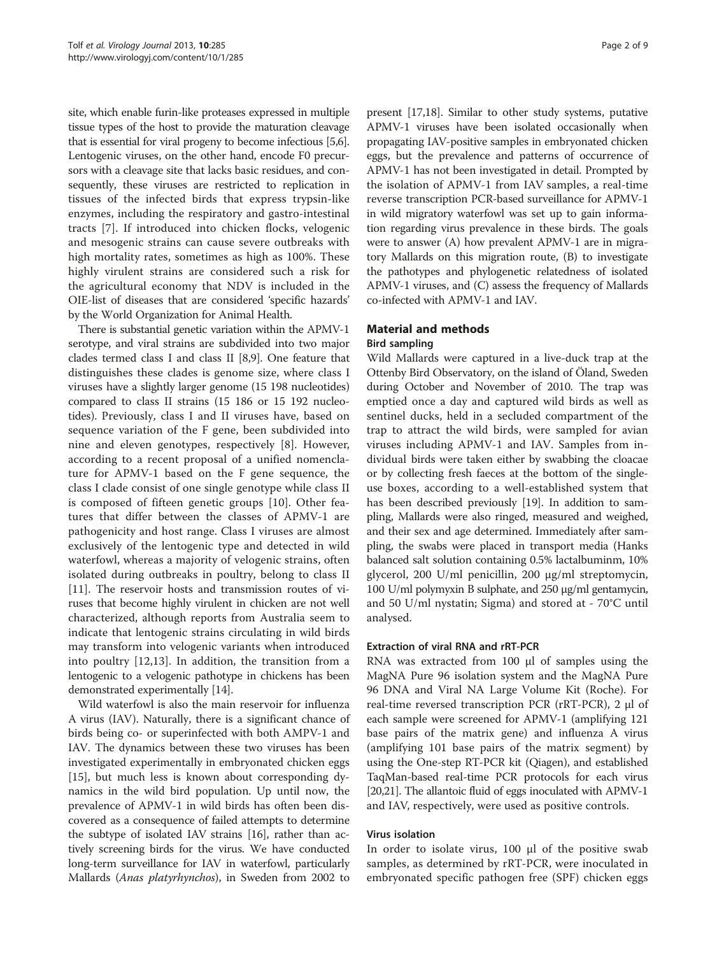site, which enable furin-like proteases expressed in multiple tissue types of the host to provide the maturation cleavage that is essential for viral progeny to become infectious [\[5,6](#page-7-0)]. Lentogenic viruses, on the other hand, encode F0 precursors with a cleavage site that lacks basic residues, and consequently, these viruses are restricted to replication in tissues of the infected birds that express trypsin-like enzymes, including the respiratory and gastro-intestinal tracts [[7\]](#page-7-0). If introduced into chicken flocks, velogenic and mesogenic strains can cause severe outbreaks with high mortality rates, sometimes as high as 100%. These highly virulent strains are considered such a risk for the agricultural economy that NDV is included in the OIE-list of diseases that are considered 'specific hazards' by the World Organization for Animal Health.

There is substantial genetic variation within the APMV-1 serotype, and viral strains are subdivided into two major clades termed class I and class II [\[8](#page-7-0)[,9](#page-8-0)]. One feature that distinguishes these clades is genome size, where class I viruses have a slightly larger genome (15 198 nucleotides) compared to class II strains (15 186 or 15 192 nucleotides). Previously, class I and II viruses have, based on sequence variation of the F gene, been subdivided into nine and eleven genotypes, respectively [[8\]](#page-7-0). However, according to a recent proposal of a unified nomenclature for APMV-1 based on the F gene sequence, the class I clade consist of one single genotype while class II is composed of fifteen genetic groups [\[10](#page-8-0)]. Other features that differ between the classes of APMV-1 are pathogenicity and host range. Class I viruses are almost exclusively of the lentogenic type and detected in wild waterfowl, whereas a majority of velogenic strains, often isolated during outbreaks in poultry, belong to class II [[11\]](#page-8-0). The reservoir hosts and transmission routes of viruses that become highly virulent in chicken are not well characterized, although reports from Australia seem to indicate that lentogenic strains circulating in wild birds may transform into velogenic variants when introduced into poultry [[12,13](#page-8-0)]. In addition, the transition from a lentogenic to a velogenic pathotype in chickens has been demonstrated experimentally [\[14\]](#page-8-0).

Wild waterfowl is also the main reservoir for influenza A virus (IAV). Naturally, there is a significant chance of birds being co- or superinfected with both AMPV-1 and IAV. The dynamics between these two viruses has been investigated experimentally in embryonated chicken eggs [[15\]](#page-8-0), but much less is known about corresponding dynamics in the wild bird population. Up until now, the prevalence of APMV-1 in wild birds has often been discovered as a consequence of failed attempts to determine the subtype of isolated IAV strains [[16](#page-8-0)], rather than actively screening birds for the virus. We have conducted long-term surveillance for IAV in waterfowl, particularly Mallards (Anas platyrhynchos), in Sweden from 2002 to

present [[17,18\]](#page-8-0). Similar to other study systems, putative APMV-1 viruses have been isolated occasionally when propagating IAV-positive samples in embryonated chicken eggs, but the prevalence and patterns of occurrence of APMV-1 has not been investigated in detail. Prompted by the isolation of APMV-1 from IAV samples, a real-time reverse transcription PCR-based surveillance for APMV-1 in wild migratory waterfowl was set up to gain information regarding virus prevalence in these birds. The goals were to answer (A) how prevalent APMV-1 are in migratory Mallards on this migration route, (B) to investigate the pathotypes and phylogenetic relatedness of isolated APMV-1 viruses, and (C) assess the frequency of Mallards co-infected with APMV-1 and IAV.

# Material and methods

# Bird sampling

Wild Mallards were captured in a live-duck trap at the Ottenby Bird Observatory, on the island of Öland, Sweden during October and November of 2010. The trap was emptied once a day and captured wild birds as well as sentinel ducks, held in a secluded compartment of the trap to attract the wild birds, were sampled for avian viruses including APMV-1 and IAV. Samples from individual birds were taken either by swabbing the cloacae or by collecting fresh faeces at the bottom of the singleuse boxes, according to a well-established system that has been described previously [\[19\]](#page-8-0). In addition to sampling, Mallards were also ringed, measured and weighed, and their sex and age determined. Immediately after sampling, the swabs were placed in transport media (Hanks balanced salt solution containing 0.5% lactalbuminm, 10% glycerol, 200 U/ml penicillin, 200 μg/ml streptomycin, 100 U/ml polymyxin B sulphate, and 250 μg/ml gentamycin, and 50 U/ml nystatin; Sigma) and stored at - 70°C until analysed.

# Extraction of viral RNA and rRT-PCR

RNA was extracted from 100 μl of samples using the MagNA Pure 96 isolation system and the MagNA Pure 96 DNA and Viral NA Large Volume Kit (Roche). For real-time reversed transcription PCR (rRT-PCR), 2 μl of each sample were screened for APMV-1 (amplifying 121 base pairs of the matrix gene) and influenza A virus (amplifying 101 base pairs of the matrix segment) by using the One-step RT-PCR kit (Qiagen), and established TaqMan-based real-time PCR protocols for each virus [[20,21\]](#page-8-0). The allantoic fluid of eggs inoculated with APMV-1 and IAV, respectively, were used as positive controls.

## Virus isolation

In order to isolate virus, 100 μl of the positive swab samples, as determined by rRT-PCR, were inoculated in embryonated specific pathogen free (SPF) chicken eggs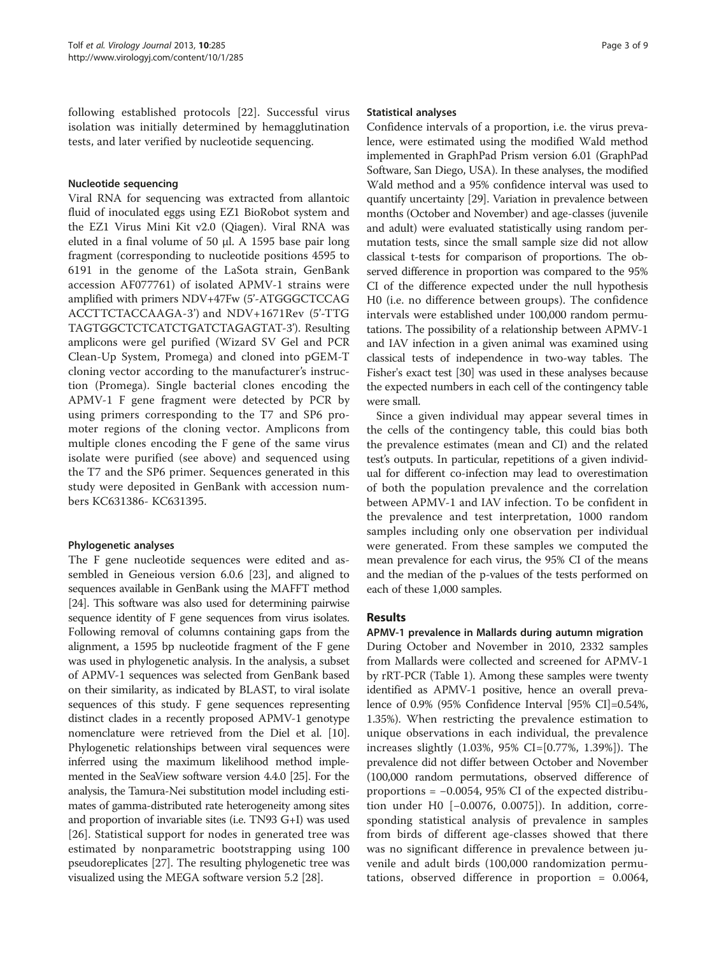following established protocols [[22\]](#page-8-0). Successful virus isolation was initially determined by hemagglutination tests, and later verified by nucleotide sequencing.

## Nucleotide sequencing

Viral RNA for sequencing was extracted from allantoic fluid of inoculated eggs using EZ1 BioRobot system and the EZ1 Virus Mini Kit v2.0 (Qiagen). Viral RNA was eluted in a final volume of 50 μl. A 1595 base pair long fragment (corresponding to nucleotide positions 4595 to 6191 in the genome of the LaSota strain, GenBank accession AF077761) of isolated APMV-1 strains were amplified with primers NDV+47Fw (5'-ATGGGCTCCAG ACCTTCTACCAAGA-3') and NDV+1671Rev (5'-TTG TAGTGGCTCTCATCTGATCTAGAGTAT-3'). Resulting amplicons were gel purified (Wizard SV Gel and PCR Clean-Up System, Promega) and cloned into pGEM-T cloning vector according to the manufacturer's instruction (Promega). Single bacterial clones encoding the APMV-1 F gene fragment were detected by PCR by using primers corresponding to the T7 and SP6 promoter regions of the cloning vector. Amplicons from multiple clones encoding the F gene of the same virus isolate were purified (see above) and sequenced using the T7 and the SP6 primer. Sequences generated in this study were deposited in GenBank with accession numbers KC631386- KC631395.

# Phylogenetic analyses

The F gene nucleotide sequences were edited and assembled in Geneious version 6.0.6 [[23\]](#page-8-0), and aligned to sequences available in GenBank using the MAFFT method [[24](#page-8-0)]. This software was also used for determining pairwise sequence identity of F gene sequences from virus isolates. Following removal of columns containing gaps from the alignment, a 1595 bp nucleotide fragment of the F gene was used in phylogenetic analysis. In the analysis, a subset of APMV-1 sequences was selected from GenBank based on their similarity, as indicated by BLAST, to viral isolate sequences of this study. F gene sequences representing distinct clades in a recently proposed APMV-1 genotype nomenclature were retrieved from the Diel et al. [[10](#page-8-0)]. Phylogenetic relationships between viral sequences were inferred using the maximum likelihood method implemented in the SeaView software version 4.4.0 [[25](#page-8-0)]. For the analysis, the Tamura-Nei substitution model including estimates of gamma-distributed rate heterogeneity among sites and proportion of invariable sites (i.e. TN93 G+I) was used [[26\]](#page-8-0). Statistical support for nodes in generated tree was estimated by nonparametric bootstrapping using 100 pseudoreplicates [\[27\]](#page-8-0). The resulting phylogenetic tree was visualized using the MEGA software version 5.2 [[28](#page-8-0)].

#### Statistical analyses

Confidence intervals of a proportion, i.e. the virus prevalence, were estimated using the modified Wald method implemented in GraphPad Prism version 6.01 (GraphPad Software, San Diego, USA). In these analyses, the modified Wald method and a 95% confidence interval was used to quantify uncertainty [[29](#page-8-0)]. Variation in prevalence between months (October and November) and age-classes (juvenile and adult) were evaluated statistically using random permutation tests, since the small sample size did not allow classical t-tests for comparison of proportions. The observed difference in proportion was compared to the 95% CI of the difference expected under the null hypothesis H0 (i.e. no difference between groups). The confidence intervals were established under 100,000 random permutations. The possibility of a relationship between APMV-1 and IAV infection in a given animal was examined using classical tests of independence in two-way tables. The Fisher's exact test [[30](#page-8-0)] was used in these analyses because the expected numbers in each cell of the contingency table were small.

Since a given individual may appear several times in the cells of the contingency table, this could bias both the prevalence estimates (mean and CI) and the related test's outputs. In particular, repetitions of a given individual for different co-infection may lead to overestimation of both the population prevalence and the correlation between APMV-1 and IAV infection. To be confident in the prevalence and test interpretation, 1000 random samples including only one observation per individual were generated. From these samples we computed the mean prevalence for each virus, the 95% CI of the means and the median of the p-values of the tests performed on each of these 1,000 samples.

# Results

APMV-1 prevalence in Mallards during autumn migration During October and November in 2010, 2332 samples from Mallards were collected and screened for APMV-1 by rRT-PCR (Table [1\)](#page-3-0). Among these samples were twenty identified as APMV-1 positive, hence an overall prevalence of 0.9% (95% Confidence Interval [95% CI]=0.54%, 1.35%). When restricting the prevalence estimation to unique observations in each individual, the prevalence increases slightly (1.03%, 95% CI=[0.77%, 1.39%]). The prevalence did not differ between October and November (100,000 random permutations, observed difference of proportions = −0.0054, 95% CI of the expected distribution under H0 [−0.0076, 0.0075]). In addition, corresponding statistical analysis of prevalence in samples from birds of different age-classes showed that there was no significant difference in prevalence between juvenile and adult birds (100,000 randomization permutations, observed difference in proportion = 0.0064,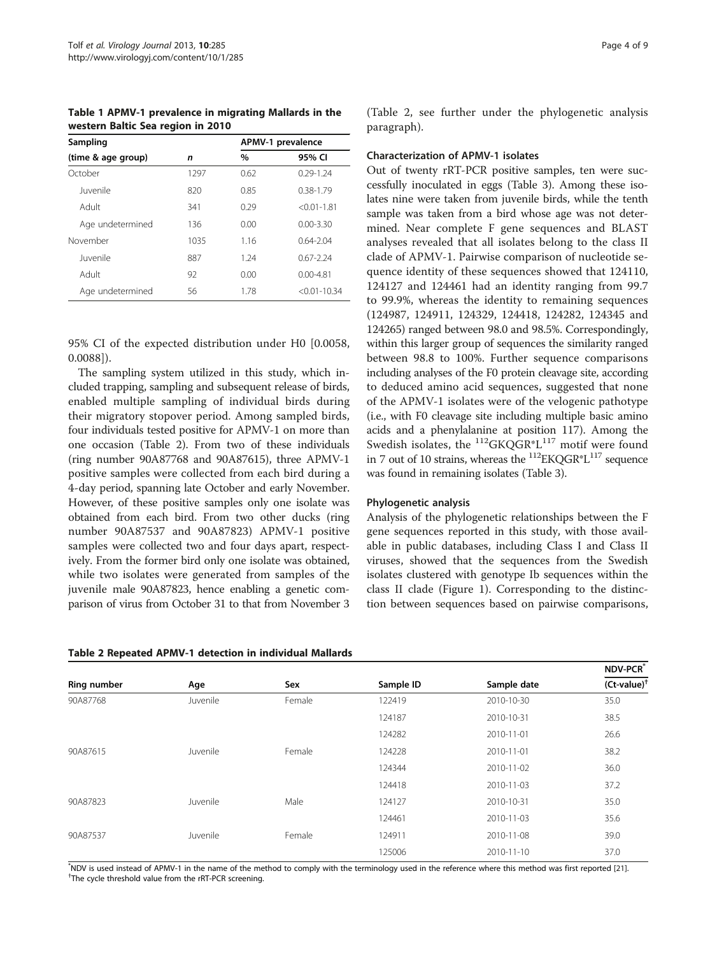<span id="page-3-0"></span>Table 1 APMV-1 prevalence in migrating Mallards in the western Baltic Sea region in 2010

| Sampling           |      | APMV-1 prevalence |                  |  |
|--------------------|------|-------------------|------------------|--|
| (time & age group) | n    | $\%$              | 95% CI           |  |
| October            | 1297 | 0.62              | $0.29 - 1.24$    |  |
| luvenile           | 820  | 0.85              | $0.38 - 1.79$    |  |
| Adult              | 341  | 0.29              | $< 0.01 - 1.81$  |  |
| Age undetermined   | 136  | 0.00              | $0.00 - 3.30$    |  |
| November           | 1035 | 1.16              | $0.64 - 2.04$    |  |
| luvenile           | 887  | 1.24              | $0.67 - 2.24$    |  |
| Adult              | 92   | 0.00              | $0.00 - 4.81$    |  |
| Age undetermined   | 56   | 1.78              | $< 0.01 - 10.34$ |  |

95% CI of the expected distribution under H0 [0.0058, 0.0088]).

The sampling system utilized in this study, which included trapping, sampling and subsequent release of birds, enabled multiple sampling of individual birds during their migratory stopover period. Among sampled birds, four individuals tested positive for APMV-1 on more than one occasion (Table 2). From two of these individuals (ring number 90A87768 and 90A87615), three APMV-1 positive samples were collected from each bird during a 4-day period, spanning late October and early November. However, of these positive samples only one isolate was obtained from each bird. From two other ducks (ring number 90A87537 and 90A87823) APMV-1 positive samples were collected two and four days apart, respectively. From the former bird only one isolate was obtained, while two isolates were generated from samples of the juvenile male 90A87823, hence enabling a genetic comparison of virus from October 31 to that from November 3

Table 2 Repeated APMV-1 detection in individual Mallards

(Table 2, see further under the phylogenetic analysis paragraph).

## Characterization of APMV-1 isolates

Out of twenty rRT-PCR positive samples, ten were successfully inoculated in eggs (Table [3](#page-4-0)). Among these isolates nine were taken from juvenile birds, while the tenth sample was taken from a bird whose age was not determined. Near complete F gene sequences and BLAST analyses revealed that all isolates belong to the class II clade of APMV-1. Pairwise comparison of nucleotide sequence identity of these sequences showed that 124110, 124127 and 124461 had an identity ranging from 99.7 to 99.9%, whereas the identity to remaining sequences (124987, 124911, 124329, 124418, 124282, 124345 and 124265) ranged between 98.0 and 98.5%. Correspondingly, within this larger group of sequences the similarity ranged between 98.8 to 100%. Further sequence comparisons including analyses of the F0 protein cleavage site, according to deduced amino acid sequences, suggested that none of the APMV-1 isolates were of the velogenic pathotype (i.e., with F0 cleavage site including multiple basic amino acids and a phenylalanine at position 117). Among the Swedish isolates, the  $^{112}$ GKQGR\*L<sup>117</sup> motif were found in 7 out of 10 strains, whereas the  $^{112}$ EKQGR\*L $^{117}$  sequence was found in remaining isolates (Table [3\)](#page-4-0).

## Phylogenetic analysis

Analysis of the phylogenetic relationships between the F gene sequences reported in this study, with those available in public databases, including Class I and Class II viruses, showed that the sequences from the Swedish isolates clustered with genotype Ib sequences within the class II clade (Figure [1\)](#page-5-0). Corresponding to the distinction between sequences based on pairwise comparisons,

|             |          |        |           |             | <b>NDV-PCR<sup>*</sup></b> |
|-------------|----------|--------|-----------|-------------|----------------------------|
| Ring number | Age      | Sex    | Sample ID | Sample date | $(Ct-value)^{\dagger}$     |
| 90A87768    | Juvenile | Female | 122419    | 2010-10-30  | 35.0                       |
|             |          |        | 124187    | 2010-10-31  | 38.5                       |
|             |          |        | 124282    | 2010-11-01  | 26.6                       |
| 90A87615    | Juvenile | Female | 124228    | 2010-11-01  | 38.2                       |
|             |          |        | 124344    | 2010-11-02  | 36.0                       |
|             |          |        | 124418    | 2010-11-03  | 37.2                       |
| 90A87823    | Juvenile | Male   | 124127    | 2010-10-31  | 35.0                       |
|             |          |        | 124461    | 2010-11-03  | 35.6                       |
| 90A87537    | Juvenile | Female | 124911    | 2010-11-08  | 39.0                       |
|             |          |        | 125006    | 2010-11-10  | 37.0                       |

\*NDV is used instead of APMV-1 in the name of the method to comply with the terminology used in the reference where this method was first reported [\[21](#page-8-0)].<br><sup>†The cyclo threshold value from the rPT PCP creasure</sup> <sup>†</sup>The cycle threshold value from the rRT-PCR screening.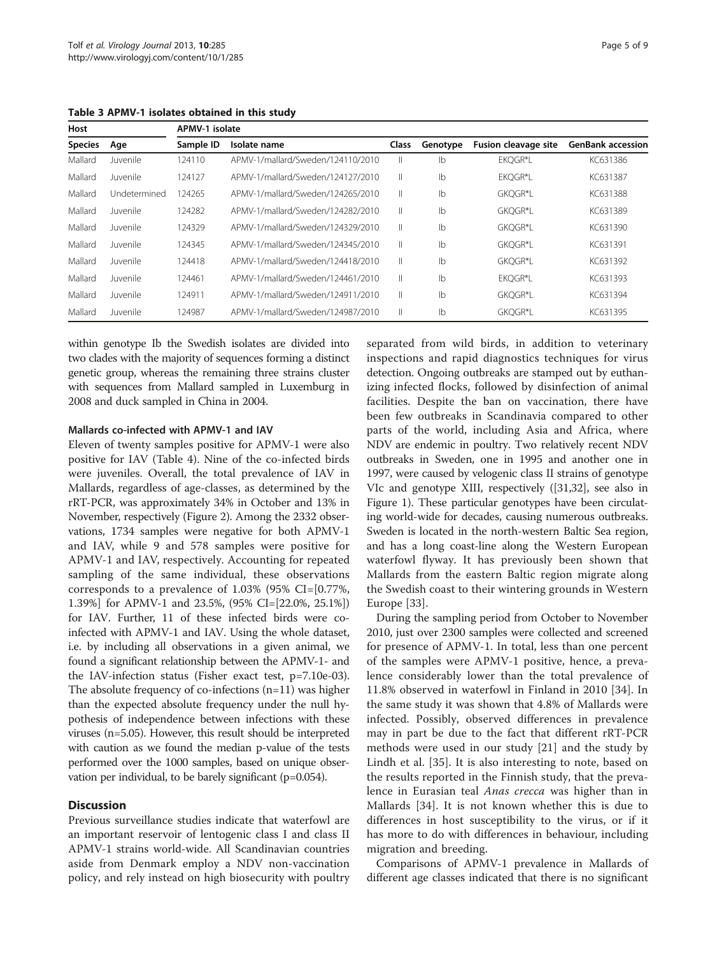<span id="page-4-0"></span>Table 3 APMV-1 isolates obtained in this study

| Host           |              | APMV-1 isolate |                                   |              |          |                             |                          |  |
|----------------|--------------|----------------|-----------------------------------|--------------|----------|-----------------------------|--------------------------|--|
| <b>Species</b> | Age          | Sample ID      | Isolate name                      | <b>Class</b> | Genotype | <b>Fusion cleavage site</b> | <b>GenBank accession</b> |  |
| Mallard        | Juvenile     | 124110         | APMV-1/mallard/Sweden/124110/2010 | Ш            | Ib       | EKOGR*L                     | KC631386                 |  |
| Mallard        | Juvenile     | 124127         | APMV-1/mallard/Sweden/124127/2010 | Ш            | Ib       | EKOGR*L                     | KC631387                 |  |
| Mallard        | Undetermined | 124265         | APMV-1/mallard/Sweden/124265/2010 | Ш.           | Ib       | GKOGR*L                     | KC631388                 |  |
| Mallard        | Juvenile     | 124282         | APMV-1/mallard/Sweden/124282/2010 | Ш            | Ib       | GKQGR*L                     | KC631389                 |  |
| Mallard        | Juvenile     | 124329         | APMV-1/mallard/Sweden/124329/2010 | Ш            | Ib       | GKOGR*L                     | KC631390                 |  |
| Mallard        | Juvenile     | 124345         | APMV-1/mallard/Sweden/124345/2010 | Ш.           | Ib       | GKOGR*L                     | KC631391                 |  |
| Mallard        | Juvenile     | 124418         | APMV-1/mallard/Sweden/124418/2010 | Ш            | Ib       | GKOGR*L                     | KC631392                 |  |
| Mallard        | Juvenile     | 124461         | APMV-1/mallard/Sweden/124461/2010 | Ш            | Ib       | EKOGR*L                     | KC631393                 |  |
| Mallard        | Juvenile     | 124911         | APMV-1/mallard/Sweden/124911/2010 | Ш            | Ib       | GKOGR*L                     | KC631394                 |  |
| Mallard        | Juvenile     | 124987         | APMV-1/mallard/Sweden/124987/2010 | Ш            | Ib       | GKOGR*L                     | KC631395                 |  |

within genotype Ib the Swedish isolates are divided into two clades with the majority of sequences forming a distinct genetic group, whereas the remaining three strains cluster with sequences from Mallard sampled in Luxemburg in 2008 and duck sampled in China in 2004.

## Mallards co-infected with APMV-1 and IAV

Eleven of twenty samples positive for APMV-1 were also positive for IAV (Table [4](#page-6-0)). Nine of the co-infected birds were juveniles. Overall, the total prevalence of IAV in Mallards, regardless of age-classes, as determined by the rRT-PCR, was approximately 34% in October and 13% in November, respectively (Figure [2\)](#page-6-0). Among the 2332 observations, 1734 samples were negative for both APMV-1 and IAV, while 9 and 578 samples were positive for APMV-1 and IAV, respectively. Accounting for repeated sampling of the same individual, these observations corresponds to a prevalence of 1.03% (95% CI=[0.77%, 1.39%] for APMV-1 and 23.5%, (95% CI=[22.0%, 25.1%]) for IAV. Further, 11 of these infected birds were coinfected with APMV-1 and IAV. Using the whole dataset, i.e. by including all observations in a given animal, we found a significant relationship between the APMV-1- and the IAV-infection status (Fisher exact test, p=7.10e-03). The absolute frequency of co-infections (n=11) was higher than the expected absolute frequency under the null hypothesis of independence between infections with these viruses (n=5.05). However, this result should be interpreted with caution as we found the median p-value of the tests performed over the 1000 samples, based on unique observation per individual, to be barely significant (p=0.054).

## **Discussion**

Previous surveillance studies indicate that waterfowl are an important reservoir of lentogenic class I and class II APMV-1 strains world-wide. All Scandinavian countries aside from Denmark employ a NDV non-vaccination policy, and rely instead on high biosecurity with poultry separated from wild birds, in addition to veterinary inspections and rapid diagnostics techniques for virus detection. Ongoing outbreaks are stamped out by euthanizing infected flocks, followed by disinfection of animal facilities. Despite the ban on vaccination, there have been few outbreaks in Scandinavia compared to other parts of the world, including Asia and Africa, where NDV are endemic in poultry. Two relatively recent NDV outbreaks in Sweden, one in 1995 and another one in 1997, were caused by velogenic class II strains of genotype VIc and genotype XIII, respectively ([\[31,32](#page-8-0)], see also in Figure [1\)](#page-5-0). These particular genotypes have been circulating world-wide for decades, causing numerous outbreaks. Sweden is located in the north-western Baltic Sea region, and has a long coast-line along the Western European waterfowl flyway. It has previously been shown that Mallards from the eastern Baltic region migrate along the Swedish coast to their wintering grounds in Western Europe [\[33](#page-8-0)].

During the sampling period from October to November 2010, just over 2300 samples were collected and screened for presence of APMV-1. In total, less than one percent of the samples were APMV-1 positive, hence, a prevalence considerably lower than the total prevalence of 11.8% observed in waterfowl in Finland in 2010 [[34](#page-8-0)]. In the same study it was shown that 4.8% of Mallards were infected. Possibly, observed differences in prevalence may in part be due to the fact that different rRT-PCR methods were used in our study [[21\]](#page-8-0) and the study by Lindh et al. [[35\]](#page-8-0). It is also interesting to note, based on the results reported in the Finnish study, that the prevalence in Eurasian teal Anas crecca was higher than in Mallards [[34\]](#page-8-0). It is not known whether this is due to differences in host susceptibility to the virus, or if it has more to do with differences in behaviour, including migration and breeding.

Comparisons of APMV-1 prevalence in Mallards of different age classes indicated that there is no significant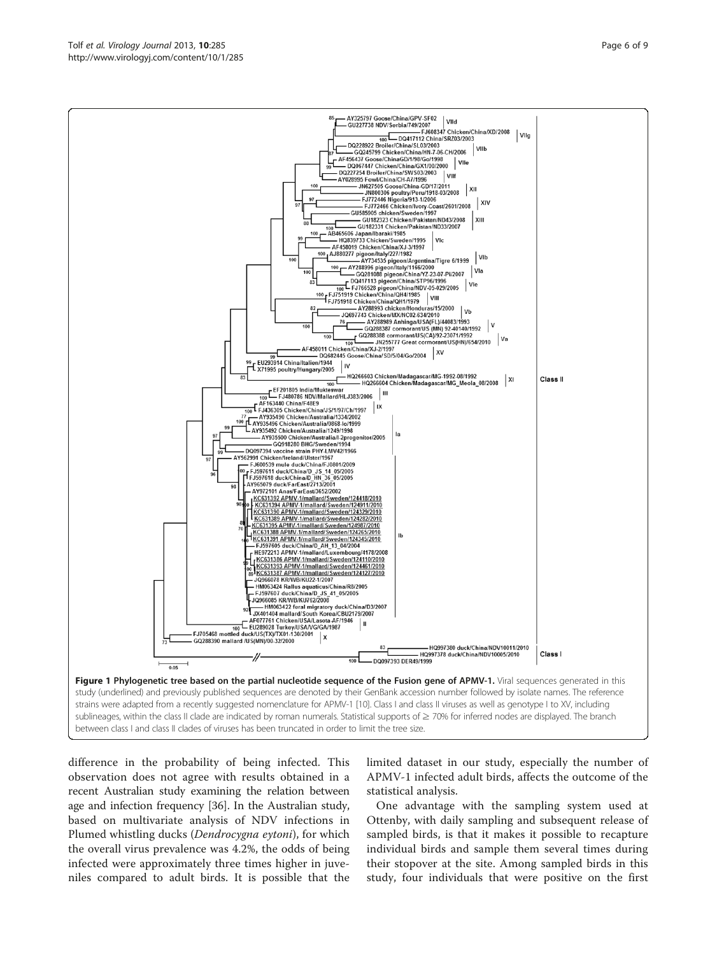difference in the probability of being infected. This observation does not agree with results obtained in a recent Australian study examining the relation between age and infection frequency [\[36\]](#page-8-0). In the Australian study, based on multivariate analysis of NDV infections in Plumed whistling ducks (Dendrocygna eytoni), for which the overall virus prevalence was 4.2%, the odds of being infected were approximately three times higher in juveniles compared to adult birds. It is possible that the

limited dataset in our study, especially the number of APMV-1 infected adult birds, affects the outcome of the statistical analysis.

One advantage with the sampling system used at Ottenby, with daily sampling and subsequent release of sampled birds, is that it makes it possible to recapture individual birds and sample them several times during their stopover at the site. Among sampled birds in this study, four individuals that were positive on the first

<span id="page-5-0"></span>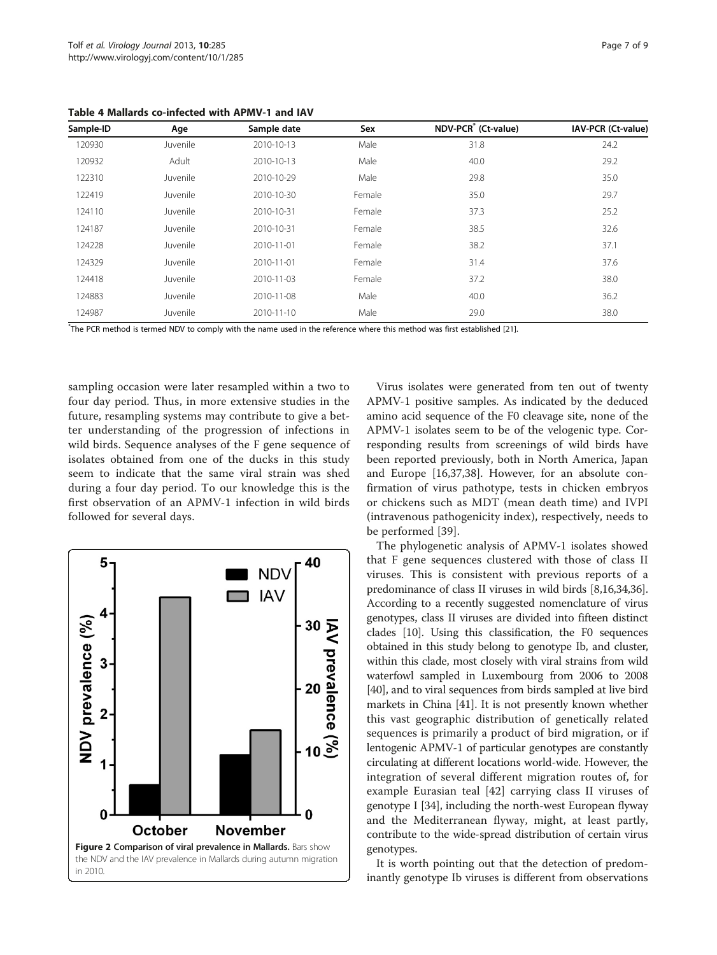<span id="page-6-0"></span>Table 4 Mallards co-infected with APMV-1 and IAV

| Sample-ID | Age      | Sample date | Sex    | NDV-PCR <sup>*</sup> (Ct-value) | IAV-PCR (Ct-value) |
|-----------|----------|-------------|--------|---------------------------------|--------------------|
| 120930    | Juvenile | 2010-10-13  | Male   | 31.8                            | 24.2               |
| 120932    | Adult    | 2010-10-13  | Male   | 40.0                            | 29.2               |
| 122310    | Juvenile | 2010-10-29  | Male   | 29.8                            | 35.0               |
| 122419    | Juvenile | 2010-10-30  | Female | 35.0                            | 29.7               |
| 124110    | Juvenile | 2010-10-31  | Female | 37.3                            | 25.2               |
| 124187    | Juvenile | 2010-10-31  | Female | 38.5                            | 32.6               |
| 124228    | Juvenile | 2010-11-01  | Female | 38.2                            | 37.1               |
| 124329    | Juvenile | 2010-11-01  | Female | 31.4                            | 37.6               |
| 124418    | Juvenile | 2010-11-03  | Female | 37.2                            | 38.0               |
| 124883    | Juvenile | 2010-11-08  | Male   | 40.0                            | 36.2               |
| 124987    | Juvenile | 2010-11-10  | Male   | 29.0                            | 38.0               |

\* The PCR method is termed NDV to comply with the name used in the reference where this method was first established [\[21](#page-8-0)].

sampling occasion were later resampled within a two to four day period. Thus, in more extensive studies in the future, resampling systems may contribute to give a better understanding of the progression of infections in wild birds. Sequence analyses of the F gene sequence of isolates obtained from one of the ducks in this study seem to indicate that the same viral strain was shed during a four day period. To our knowledge this is the first observation of an APMV-1 infection in wild birds followed for several days.



Virus isolates were generated from ten out of twenty APMV-1 positive samples. As indicated by the deduced amino acid sequence of the F0 cleavage site, none of the APMV-1 isolates seem to be of the velogenic type. Corresponding results from screenings of wild birds have been reported previously, both in North America, Japan and Europe [\[16,37,38\]](#page-8-0). However, for an absolute confirmation of virus pathotype, tests in chicken embryos or chickens such as MDT (mean death time) and IVPI (intravenous pathogenicity index), respectively, needs to be performed [[39](#page-8-0)].

The phylogenetic analysis of APMV-1 isolates showed that F gene sequences clustered with those of class II viruses. This is consistent with previous reports of a predominance of class II viruses in wild birds [\[8](#page-7-0)[,16,34,36](#page-8-0)]. According to a recently suggested nomenclature of virus genotypes, class II viruses are divided into fifteen distinct clades [\[10](#page-8-0)]. Using this classification, the F0 sequences obtained in this study belong to genotype Ib, and cluster, within this clade, most closely with viral strains from wild waterfowl sampled in Luxembourg from 2006 to 2008 [[40](#page-8-0)], and to viral sequences from birds sampled at live bird markets in China [[41](#page-8-0)]. It is not presently known whether this vast geographic distribution of genetically related sequences is primarily a product of bird migration, or if lentogenic APMV-1 of particular genotypes are constantly circulating at different locations world-wide. However, the integration of several different migration routes of, for example Eurasian teal [\[42\]](#page-8-0) carrying class II viruses of genotype I [[34](#page-8-0)], including the north-west European flyway and the Mediterranean flyway, might, at least partly, contribute to the wide-spread distribution of certain virus genotypes.

It is worth pointing out that the detection of predominantly genotype Ib viruses is different from observations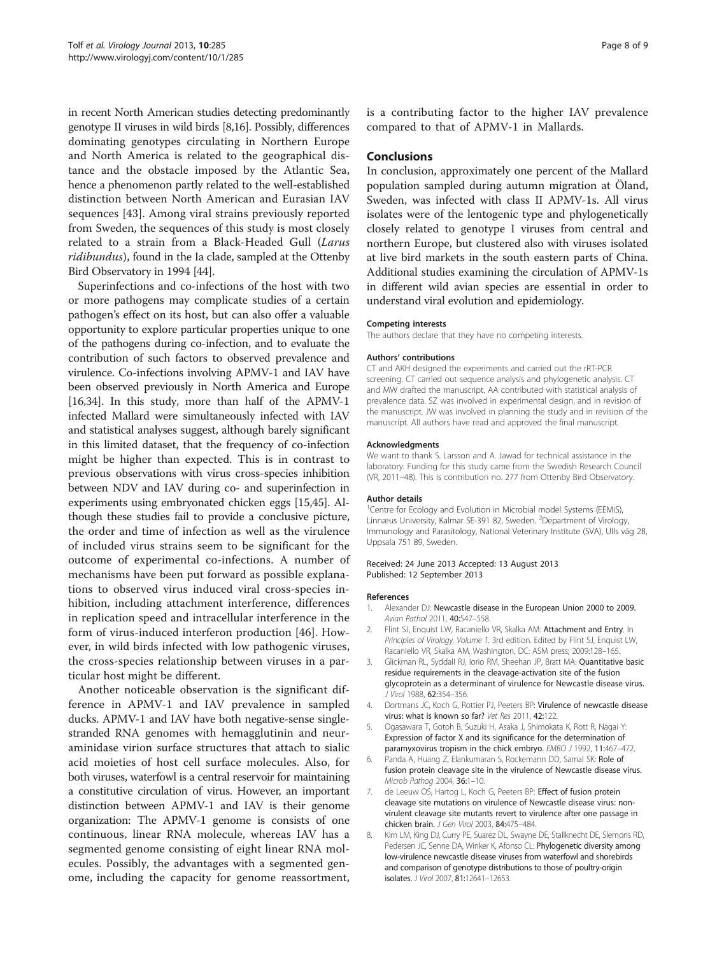<span id="page-7-0"></span>in recent North American studies detecting predominantly genotype II viruses in wild birds [8[,16\]](#page-8-0). Possibly, differences dominating genotypes circulating in Northern Europe and North America is related to the geographical distance and the obstacle imposed by the Atlantic Sea, hence a phenomenon partly related to the well-established distinction between North American and Eurasian IAV sequences [[43](#page-8-0)]. Among viral strains previously reported from Sweden, the sequences of this study is most closely related to a strain from a Black-Headed Gull (Larus ridibundus), found in the Ia clade, sampled at the Ottenby Bird Observatory in 1994 [[44](#page-8-0)].

Superinfections and co-infections of the host with two or more pathogens may complicate studies of a certain pathogen's effect on its host, but can also offer a valuable opportunity to explore particular properties unique to one of the pathogens during co-infection, and to evaluate the contribution of such factors to observed prevalence and virulence. Co-infections involving APMV-1 and IAV have been observed previously in North America and Europe [[16,34](#page-8-0)]. In this study, more than half of the APMV-1 infected Mallard were simultaneously infected with IAV and statistical analyses suggest, although barely significant in this limited dataset, that the frequency of co-infection might be higher than expected. This is in contrast to previous observations with virus cross-species inhibition between NDV and IAV during co- and superinfection in experiments using embryonated chicken eggs [[15,45](#page-8-0)]. Although these studies fail to provide a conclusive picture, the order and time of infection as well as the virulence of included virus strains seem to be significant for the outcome of experimental co-infections. A number of mechanisms have been put forward as possible explanations to observed virus induced viral cross-species inhibition, including attachment interference, differences in replication speed and intracellular interference in the form of virus-induced interferon production [[46\]](#page-8-0). However, in wild birds infected with low pathogenic viruses, the cross-species relationship between viruses in a particular host might be different.

Another noticeable observation is the significant difference in APMV-1 and IAV prevalence in sampled ducks. APMV-1 and IAV have both negative-sense singlestranded RNA genomes with hemagglutinin and neuraminidase virion surface structures that attach to sialic acid moieties of host cell surface molecules. Also, for both viruses, waterfowl is a central reservoir for maintaining a constitutive circulation of virus. However, an important distinction between APMV-1 and IAV is their genome organization: The APMV-1 genome is consists of one continuous, linear RNA molecule, whereas IAV has a segmented genome consisting of eight linear RNA molecules. Possibly, the advantages with a segmented genome, including the capacity for genome reassortment, is a contributing factor to the higher IAV prevalence compared to that of APMV-1 in Mallards.

## **Conclusions**

In conclusion, approximately one percent of the Mallard population sampled during autumn migration at Öland, Sweden, was infected with class II APMV-1s. All virus isolates were of the lentogenic type and phylogenetically closely related to genotype I viruses from central and northern Europe, but clustered also with viruses isolated at live bird markets in the south eastern parts of China. Additional studies examining the circulation of APMV-1s in different wild avian species are essential in order to understand viral evolution and epidemiology.

#### Competing interests

The authors declare that they have no competing interests.

#### Authors' contributions

CT and AKH designed the experiments and carried out the rRT-PCR screening. CT carried out sequence analysis and phylogenetic analysis. CT and MW drafted the manuscript. AA contributed with statistical analysis of prevalence data. SZ was involved in experimental design, and in revision of the manuscript. JW was involved in planning the study and in revision of the manuscript. All authors have read and approved the final manuscript.

#### Acknowledgments

We want to thank S. Larsson and A. Jawad for technical assistance in the laboratory. Funding for this study came from the Swedish Research Council (VR, 2011–48). This is contribution no. 277 from Ottenby Bird Observatory.

#### Author details

<sup>1</sup> Centre for Ecology and Evolution in Microbial model Systems (EEMiS), Linnæus University, Kalmar SE-391 82, Sweden. <sup>2</sup>Department of Virology, Immunology and Parasitology, National Veterinary Institute (SVA), Ulls väg 2B, Uppsala 751 89, Sweden.

#### Received: 24 June 2013 Accepted: 13 August 2013 Published: 12 September 2013

#### References

- 1. Alexander DJ: Newcastle disease in the European Union 2000 to 2009. Avian Pathol 2011, 40:547–558.
- 2. Flint SJ, Enquist LW, Racaniello VR, Skalka AM: Attachment and Entry. In Principles of Virology. Volume 1. 3rd edition. Edited by Flint SJ, Enquist LW, Racaniello VR, Skalka AM. Washington, DC: ASM press; 2009:128–165.
- 3. Glickman RL, Syddall RJ, Iorio RM, Sheehan JP, Bratt MA: Quantitative basic residue requirements in the cleavage-activation site of the fusion glycoprotein as a determinant of virulence for Newcastle disease virus. J Virol 1988, 62:354–356.
- 4. Dortmans JC, Koch G, Rottier PJ, Peeters BP: Virulence of newcastle disease virus: what is known so far? Vet Res 2011, 42:122.
- 5. Ogasawara T, Gotoh B, Suzuki H, Asaka J, Shimokata K, Rott R, Nagai Y: Expression of factor X and its significance for the determination of paramyxovirus tropism in the chick embryo. EMBO J 1992, 11:467-472.
- 6. Panda A, Huang Z, Elankumaran S, Rockemann DD, Samal SK: Role of fusion protein cleavage site in the virulence of Newcastle disease virus. Microb Pathog 2004, 36:1–10.
- de Leeuw OS, Hartog L, Koch G, Peeters BP: Effect of fusion protein cleavage site mutations on virulence of Newcastle disease virus: nonvirulent cleavage site mutants revert to virulence after one passage in chicken brain. J Gen Virol 2003, 84:475–484.
- 8. Kim LM, King DJ, Curry PE, Suarez DL, Swayne DE, Stallknecht DE, Slemons RD, Pedersen JC, Senne DA, Winker K, Afonso CL: Phylogenetic diversity among low-virulence newcastle disease viruses from waterfowl and shorebirds and comparison of genotype distributions to those of poultry-origin isolates. J Virol 2007, 81:12641–12653.